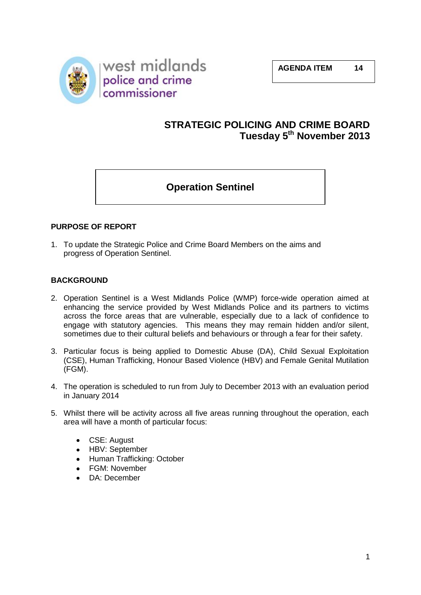

# **STRATEGIC POLICING AND CRIME BOARD Tuesday 5th November 2013**

# **Operation Sentinel**

## **PURPOSE OF REPORT**

1. To update the Strategic Police and Crime Board Members on the aims and progress of Operation Sentinel.

#### **BACKGROUND**

- 2. Operation Sentinel is a West Midlands Police (WMP) force-wide operation aimed at enhancing the service provided by West Midlands Police and its partners to victims across the force areas that are vulnerable, especially due to a lack of confidence to engage with statutory agencies. This means they may remain hidden and/or silent, sometimes due to their cultural beliefs and behaviours or through a fear for their safety.
- 3. Particular focus is being applied to Domestic Abuse (DA), Child Sexual Exploitation (CSE), Human Trafficking, Honour Based Violence (HBV) and Female Genital Mutilation (FGM).
- 4. The operation is scheduled to run from July to December 2013 with an evaluation period in January 2014
- 5. Whilst there will be activity across all five areas running throughout the operation, each area will have a month of particular focus:
	- $\bullet$ CSE: August
	- HBV: September
	- Human Trafficking: October
	- $\bullet$ FGM: November
	- DA: December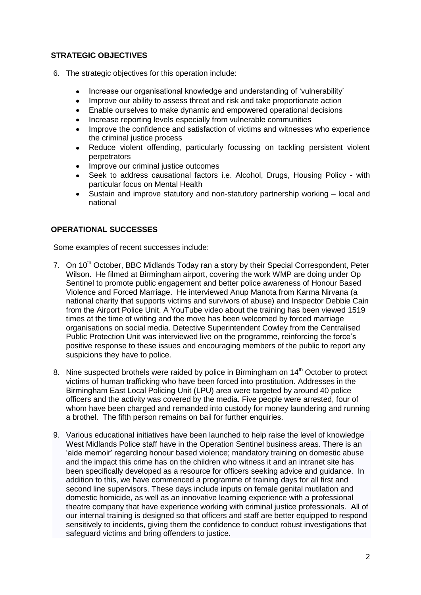## **STRATEGIC OBJECTIVES**

- 6. The strategic objectives for this operation include:
	- Increase our organisational knowledge and understanding of 'vulnerability'  $\bullet$
	- Improve our ability to assess threat and risk and take proportionate action  $\bullet$
	- $\bullet$ Enable ourselves to make dynamic and empowered operational decisions
	- Increase reporting levels especially from vulnerable communities  $\bullet$
	- Improve the confidence and satisfaction of victims and witnesses who experience the criminal justice process
	- Reduce violent offending, particularly focussing on tackling persistent violent  $\bullet$ perpetrators
	- Improve our criminal justice outcomes
	- Seek to address causational factors i.e. Alcohol, Drugs, Housing Policy with particular focus on Mental Health
	- Sustain and improve statutory and non-statutory partnership working local and  $\bullet$ national

## **OPERATIONAL SUCCESSES**

Some examples of recent successes include:

- 7. On 10<sup>th</sup> October, BBC Midlands Today ran a story by their Special Correspondent, Peter Wilson. He filmed at Birmingham airport, covering the work WMP are doing under Op Sentinel to promote public engagement and better police awareness of Honour Based Violence and Forced Marriage. He interviewed Anup Manota from Karma Nirvana (a national charity that supports victims and survivors of abuse) and Inspector Debbie Cain from the Airport Police Unit. A YouTube video about the training has been viewed 1519 times at the time of writing and the move has been welcomed by forced marriage organisations on social media. Detective Superintendent Cowley from the Centralised Public Protection Unit was interviewed live on the programme, reinforcing the force's positive response to these issues and encouraging members of the public to report any suspicions they have to police.
- 8. Nine suspected brothels were raided by police in Birmingham on 14<sup>th</sup> October to protect victims of human trafficking who have been forced into prostitution. Addresses in the Birmingham East Local Policing Unit (LPU) area were targeted by around 40 police officers and the activity was covered by the media. Five people were arrested, four of whom have been charged and remanded into custody for money laundering and running a brothel. The fifth person remains on bail for further enquiries.
- 9. Various educational initiatives have been launched to help raise the level of knowledge West Midlands Police staff have in the Operation Sentinel business areas. There is an 'aide memoir' regarding honour based violence; mandatory training on domestic abuse and the impact this crime has on the children who witness it and an intranet site has been specifically developed as a resource for officers seeking advice and guidance. In addition to this, we have commenced a programme of training days for all first and second line supervisors. These days include inputs on female genital mutilation and domestic homicide, as well as an innovative learning experience with a professional theatre company that have experience working with criminal justice professionals. All of our internal training is designed so that officers and staff are better equipped to respond sensitively to incidents, giving them the confidence to conduct robust investigations that safeguard victims and bring offenders to justice.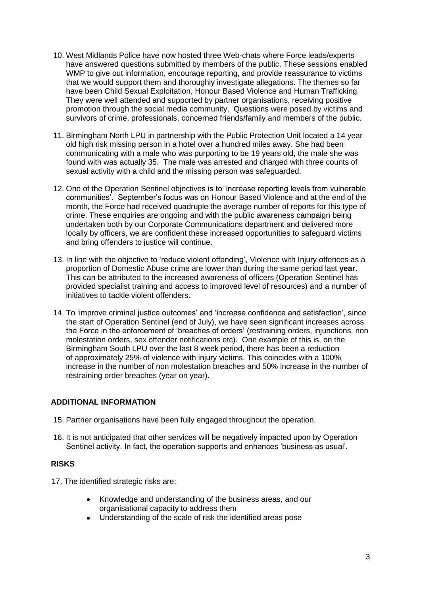- 10. West Midlands Police have now hosted three Web-chats where Force leads/experts have answered questions submitted by members of the public. These sessions enabled WMP to give out information, encourage reporting, and provide reassurance to victims that we would support them and thoroughly investigate allegations. The themes so far have been Child Sexual Exploitation, Honour Based Violence and Human Trafficking. They were well attended and supported by partner organisations, receiving positive promotion through the social media community. Questions were posed by victims and survivors of crime, professionals, concerned friends/family and members of the public.
- 11. Birmingham North LPU in partnership with the Public Protection Unit located a 14 year old high risk missing person in a hotel over a hundred miles away. She had been communicating with a male who was purporting to be 19 years old, the male she was found with was actually 35. The male was arrested and charged with three counts of sexual activity with a child and the missing person was safeguarded.
- 12. One of the Operation Sentinel objectives is to 'increase reporting levels from vulnerable communities'. September's focus was on Honour Based Violence and at the end of the month, the Force had received quadruple the average number of reports for this type of crime. These enquiries are ongoing and with the public awareness campaign being undertaken both by our Corporate Communications department and delivered more locally by officers, we are confident these increased opportunities to safeguard victims and bring offenders to justice will continue.
- 13. In line with the objective to 'reduce violent offending', Violence with Injury offences as a proportion of Domestic Abuse crime are lower than during the same period last **year**. This can be attributed to the increased awareness of officers (Operation Sentinel has provided specialist training and access to improved level of resources) and a number of initiatives to tackle violent offenders.
- 14. To 'improve criminal justice outcomes' and 'increase confidence and satisfaction', since the start of Operation Sentinel (end of July), we have seen significant increases across the Force in the enforcement of 'breaches of orders' (restraining orders, injunctions, non molestation orders, sex offender notifications etc). One example of this is, on the Birmingham South LPU over the last 8 week period, there has been a reduction of approximately 25% of violence with injury victims. This coincides with a 100% increase in the number of non molestation breaches and 50% increase in the number of restraining order breaches (year on year).

#### **ADDITIONAL INFORMATION**

- 15. Partner organisations have been fully engaged throughout the operation.
- 16. It is not anticipated that other services will be negatively impacted upon by Operation Sentinel activity. In fact, the operation supports and enhances 'business as usual'.

#### **RISKS**

17. The identified strategic risks are:

- Knowledge and understanding of the business areas, and our organisational capacity to address them
- Understanding of the scale of risk the identified areas pose